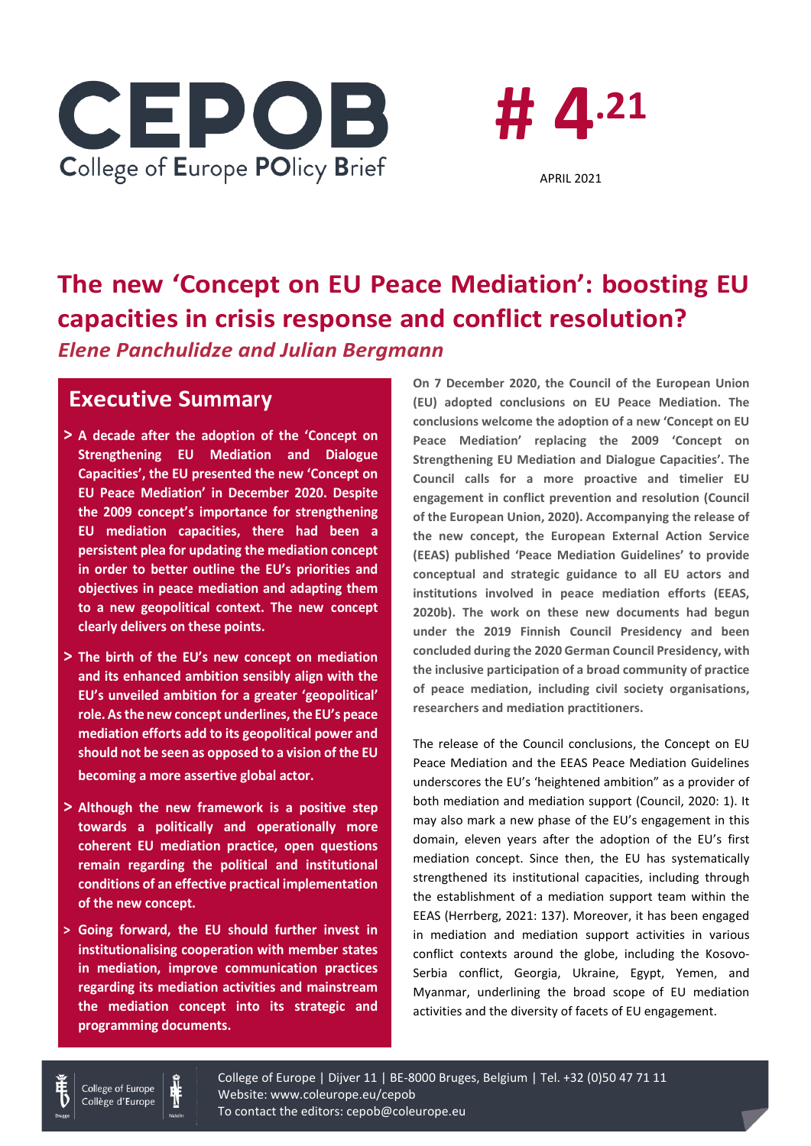



# **The new 'Concept on EU Peace Mediation': boosting EU capacities in crisis response and conflict resolution?** *Elene Panchulidze and Julian Bergmann*

# **Executive Summary**

- **> A decade after the adoption of the 'Concept on Strengthening EU Mediation and Dialogue Capacities', the EU presented the new 'Concept on EU Peace Mediation' in December 2020. Despite the 2009 concept's importance for strengthening EU mediation capacities, there had been a persistent plea for updating the mediation concept in order to better outline the EU's priorities and objectives in peace mediation and adapting them to a new geopolitical context. The new concept clearly delivers on these points.**
- **> The birth of the EU's new concept on mediation and its enhanced ambition sensibly align with the EU's unveiled ambition for a greater 'geopolitical' role. As the new concept underlines, the EU's peace mediation efforts add to its geopolitical power and should not be seen as opposed to a vision of the EU becoming a more assertive global actor.**
- **> Although the new framework is a positive step towards a politically and operationally more coherent EU mediation practice, open questions remain regarding the political and institutional conditions of an effective practical implementation of the new concept.**
- **> Going forward, the EU should further invest in institutionalising cooperation with member states in mediation, improve communication practices regarding its mediation activities and mainstream the mediation concept into its strategic and programming documents.**

**On 7 December 2020, the Council of the European Union (EU) adopted conclusions on EU Peace Mediation. The conclusions welcome the adoption of a new 'Concept on EU Peace Mediation' replacing the 2009 'Concept on Strengthening EU Mediation and Dialogue Capacities'. The Council calls for a more proactive and timelier EU engagement in conflict prevention and resolution (Council of the European Union, 2020). Accompanying the release of the new concept, the European External Action Service (EEAS) published 'Peace Mediation Guidelines' to provide conceptual and strategic guidance to all EU actors and institutions involved in peace mediation efforts (EEAS, 2020b). The work on these new documents had begun under the 2019 Finnish Council Presidency and been concluded during the 2020 German Council Presidency, with the inclusive participation of a broad community of practice of peace mediation, including civil society organisations, researchers and mediation practitioners.**

The release of the Council conclusions, the Concept on EU Peace Mediation and the EEAS Peace Mediation Guidelines underscores the EU's 'heightened ambition" as a provider of both mediation and mediation support (Council, 2020: 1). It may also mark a new phase of the EU's engagement in this domain, eleven years after the adoption of the EU's first mediation concept. Since then, the EU has systematically strengthened its institutional capacities, including through the establishment of a mediation support team within the EEAS (Herrberg, 2021: 137). Moreover, it has been engaged in mediation and mediation support activities in various conflict contexts around the globe, including the Kosovo-Serbia conflict, Georgia, Ukraine, Egypt, Yemen, and Myanmar, underlining the broad scope of EU mediation activities and the diversity of facets of EU engagement.



College of Europe Collège d'Europe

College of Europe | Dijver 11 | BE-8000 Bruges, Belgium | Tel. +32 (0)50 47 71 11 Website: www.coleurope.eu/cepob To contact the editors: cepob@coleurope.eu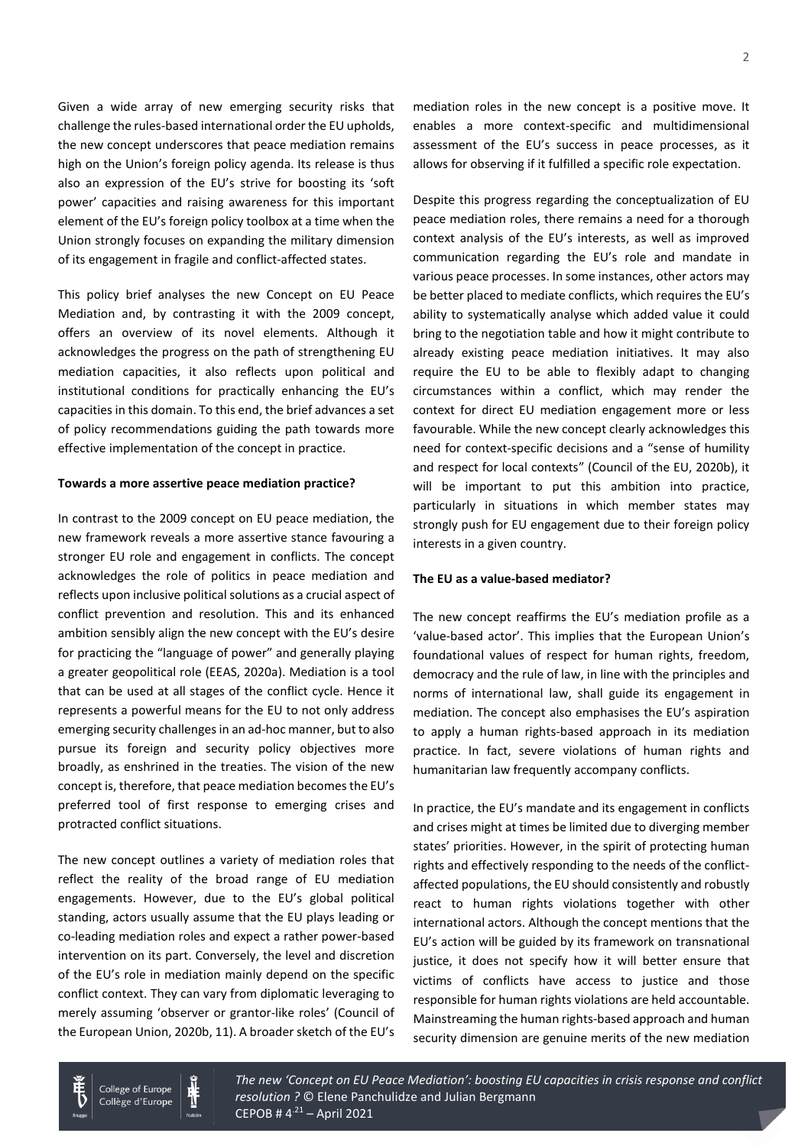Given a wide array of new emerging security risks that challenge the rules-based international order the EU upholds, the new concept underscores that peace mediation remains high on the Union's foreign policy agenda. Its release is thus also an expression of the EU's strive for boosting its 'soft power' capacities and raising awareness for this important element of the EU's foreign policy toolbox at a time when the Union strongly focuses on expanding the military dimension of its engagement in fragile and conflict-affected states.

This policy brief analyses the new Concept on EU Peace Mediation and, by contrasting it with the 2009 concept, offers an overview of its novel elements. Although it acknowledges the progress on the path of strengthening EU mediation capacities, it also reflects upon political and institutional conditions for practically enhancing the EU's capacities in this domain. To this end, the brief advances a set of policy recommendations guiding the path towards more effective implementation of the concept in practice.

### **Towards a more assertive peace mediation practice?**

In contrast to the 2009 concept on EU peace mediation, the new framework reveals a more assertive stance favouring a stronger EU role and engagement in conflicts. The concept acknowledges the role of politics in peace mediation and reflects upon inclusive political solutions as a crucial aspect of conflict prevention and resolution. This and its enhanced ambition sensibly align the new concept with the EU's desire for practicing the "language of power" and generally playing a greater geopolitical role (EEAS, 2020a). Mediation is a tool that can be used at all stages of the conflict cycle. Hence it represents a powerful means for the EU to not only address emerging security challenges in an ad-hoc manner, but to also pursue its foreign and security policy objectives more broadly, as enshrined in the treaties. The vision of the new concept is, therefore, that peace mediation becomes the EU's preferred tool of first response to emerging crises and protracted conflict situations.

The new concept outlines a variety of mediation roles that reflect the reality of the broad range of EU mediation engagements. However, due to the EU's global political standing, actors usually assume that the EU plays leading or co-leading mediation roles and expect a rather power-based intervention on its part. Conversely, the level and discretion of the EU's role in mediation mainly depend on the specific conflict context. They can vary from diplomatic leveraging to merely assuming 'observer or grantor-like roles' (Council of the European Union, 2020b, 11). A broader sketch of the EU's mediation roles in the new concept is a positive move. It enables a more context-specific and multidimensional assessment of the EU's success in peace processes, as it allows for observing if it fulfilled a specific role expectation.

Despite this progress regarding the conceptualization of EU peace mediation roles, there remains a need for a thorough context analysis of the EU's interests, as well as improved communication regarding the EU's role and mandate in various peace processes. In some instances, other actors may be better placed to mediate conflicts, which requires the EU's ability to systematically analyse which added value it could bring to the negotiation table and how it might contribute to already existing peace mediation initiatives. It may also require the EU to be able to flexibly adapt to changing circumstances within a conflict, which may render the context for direct EU mediation engagement more or less favourable. While the new concept clearly acknowledges this need for context-specific decisions and a "sense of humility and respect for local contexts" (Council of the EU, 2020b), it will be important to put this ambition into practice, particularly in situations in which member states may strongly push for EU engagement due to their foreign policy interests in a given country.

#### **The EU as a value-based mediator?**

The new concept reaffirms the EU's mediation profile as a 'value-based actor'. This implies that the European Union's foundational values of respect for human rights, freedom, democracy and the rule of law, in line with the principles and norms of international law, shall guide its engagement in mediation. The concept also emphasises the EU's aspiration to apply a human rights-based approach in its mediation practice. In fact, severe violations of human rights and humanitarian law frequently accompany conflicts.

In practice, the EU's mandate and its engagement in conflicts and crises might at times be limited due to diverging member states' priorities. However, in the spirit of protecting human rights and effectively responding to the needs of the conflictaffected populations, the EU should consistently and robustly react to human rights violations together with other international actors. Although the concept mentions that the EU's action will be guided by its framework on transnational justice, it does not specify how it will better ensure that victims of conflicts have access to justice and those responsible for human rights violations are held accountable. Mainstreaming the human rights-based approach and human security dimension are genuine merits of the new mediation



*The new 'Concept on EU Peace Mediation': boosting EU capacities in crisis response and conflict* resolution ? © Elene Panchulidze and Julian Bergmann  $CEPOB # 4<sup>.21</sup> – April 2021$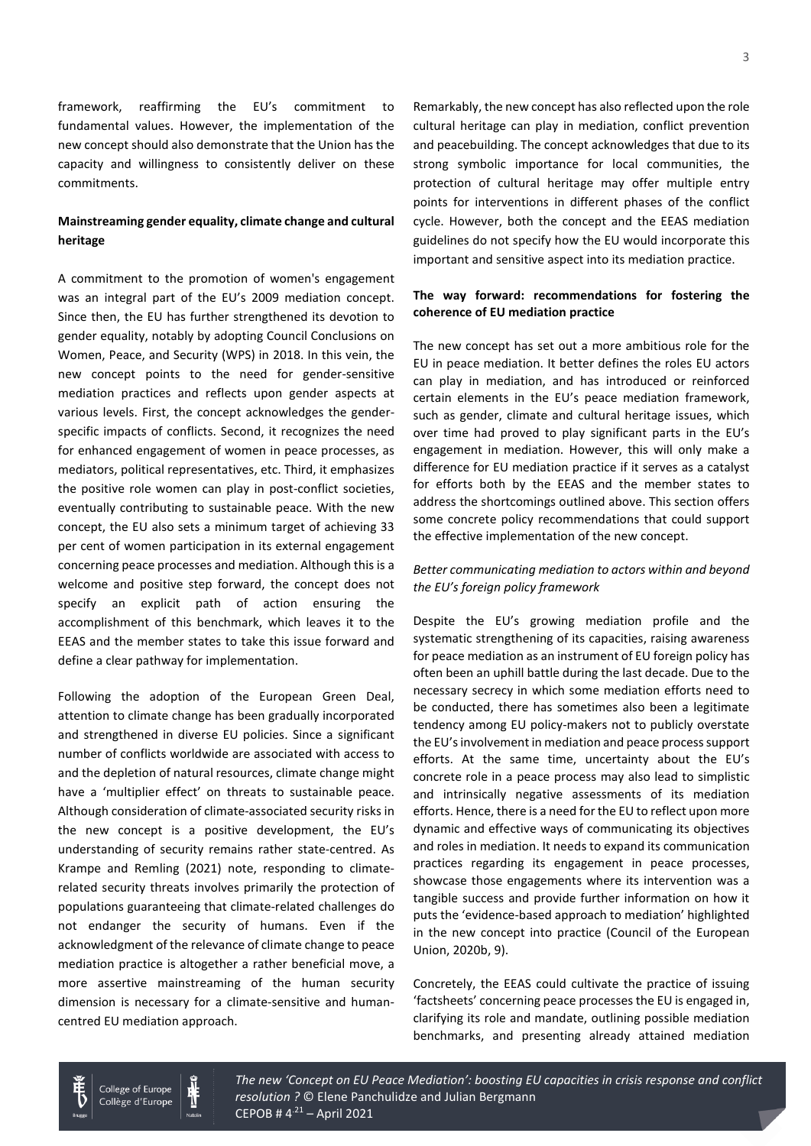framework, reaffirming the EU's commitment to fundamental values. However, the implementation of the new concept should also demonstrate that the Union has the capacity and willingness to consistently deliver on these commitments.

# **Mainstreaming gender equality, climate change and cultural heritage**

A commitment to the promotion of women's engagement was an integral part of the EU's 2009 mediation concept. Since then, the EU has further strengthened its devotion to gender equality, notably by adopting Council Conclusions on Women, Peace, and Security (WPS) in 2018. In this vein, the new concept points to the need for gender-sensitive mediation practices and reflects upon gender aspects at various levels. First, the concept acknowledges the genderspecific impacts of conflicts. Second, it recognizes the need for enhanced engagement of women in peace processes, as mediators, political representatives, etc. Third, it emphasizes the positive role women can play in post-conflict societies, eventually contributing to sustainable peace. With the new concept, the EU also sets a minimum target of achieving 33 per cent of women participation in its external engagement concerning peace processes and mediation. Although this is a welcome and positive step forward, the concept does not specify an explicit path of action ensuring the accomplishment of this benchmark, which leaves it to the EEAS and the member states to take this issue forward and define a clear pathway for implementation.

Following the adoption of the European Green Deal, attention to climate change has been gradually incorporated and strengthened in diverse EU policies. Since a significant number of conflicts worldwide are associated with access to and the depletion of natural resources, climate change might have a 'multiplier effect' on threats to sustainable peace. Although consideration of climate-associated security risks in the new concept is a positive development, the EU's understanding of security remains rather state-centred. As Krampe and Remling (2021) note, responding to climaterelated security threats involves primarily the protection of populations guaranteeing that climate-related challenges do not endanger the security of humans. Even if the acknowledgment of the relevance of climate change to peace mediation practice is altogether a rather beneficial move, a more assertive mainstreaming of the human security dimension is necessary for a climate-sensitive and humancentred EU mediation approach.

Remarkably, the new concept has also reflected upon the role cultural heritage can play in mediation, conflict prevention and peacebuilding. The concept acknowledges that due to its strong symbolic importance for local communities, the protection of cultural heritage may offer multiple entry points for interventions in different phases of the conflict cycle. However, both the concept and the EEAS mediation guidelines do not specify how the EU would incorporate this important and sensitive aspect into its mediation practice.

## **The way forward: recommendations for fostering the coherence of EU mediation practice**

The new concept has set out a more ambitious role for the EU in peace mediation. It better defines the roles EU actors can play in mediation, and has introduced or reinforced certain elements in the EU's peace mediation framework, such as gender, climate and cultural heritage issues, which over time had proved to play significant parts in the EU's engagement in mediation. However, this will only make a difference for EU mediation practice if it serves as a catalyst for efforts both by the EEAS and the member states to address the shortcomings outlined above. This section offers some concrete policy recommendations that could support the effective implementation of the new concept.

### *Better communicating mediation to actors within and beyond the EU's foreign policy framework*

Despite the EU's growing mediation profile and the systematic strengthening of its capacities, raising awareness for peace mediation as an instrument of EU foreign policy has often been an uphill battle during the last decade. Due to the necessary secrecy in which some mediation efforts need to be conducted, there has sometimes also been a legitimate tendency among EU policy-makers not to publicly overstate the EU's involvement in mediation and peace process support efforts. At the same time, uncertainty about the EU's concrete role in a peace process may also lead to simplistic and intrinsically negative assessments of its mediation efforts. Hence, there is a need for the EU to reflect upon more dynamic and effective ways of communicating its objectives and roles in mediation. It needs to expand its communication practices regarding its engagement in peace processes, showcase those engagements where its intervention was a tangible success and provide further information on how it puts the 'evidence-based approach to mediation' highlighted in the new concept into practice (Council of the European Union, 2020b, 9).

Concretely, the EEAS could cultivate the practice of issuing 'factsheets' concerning peace processes the EU is engaged in, clarifying its role and mandate, outlining possible mediation benchmarks, and presenting already attained mediation

3



College of Europe Collège d'Europe *The new 'Concept on EU Peace Mediation': boosting EU capacities in crisis response and conflict* resolution ? © Elene Panchulidze and Julian Bergmann  $CEPOB # 4<sup>.21</sup> – April 2021$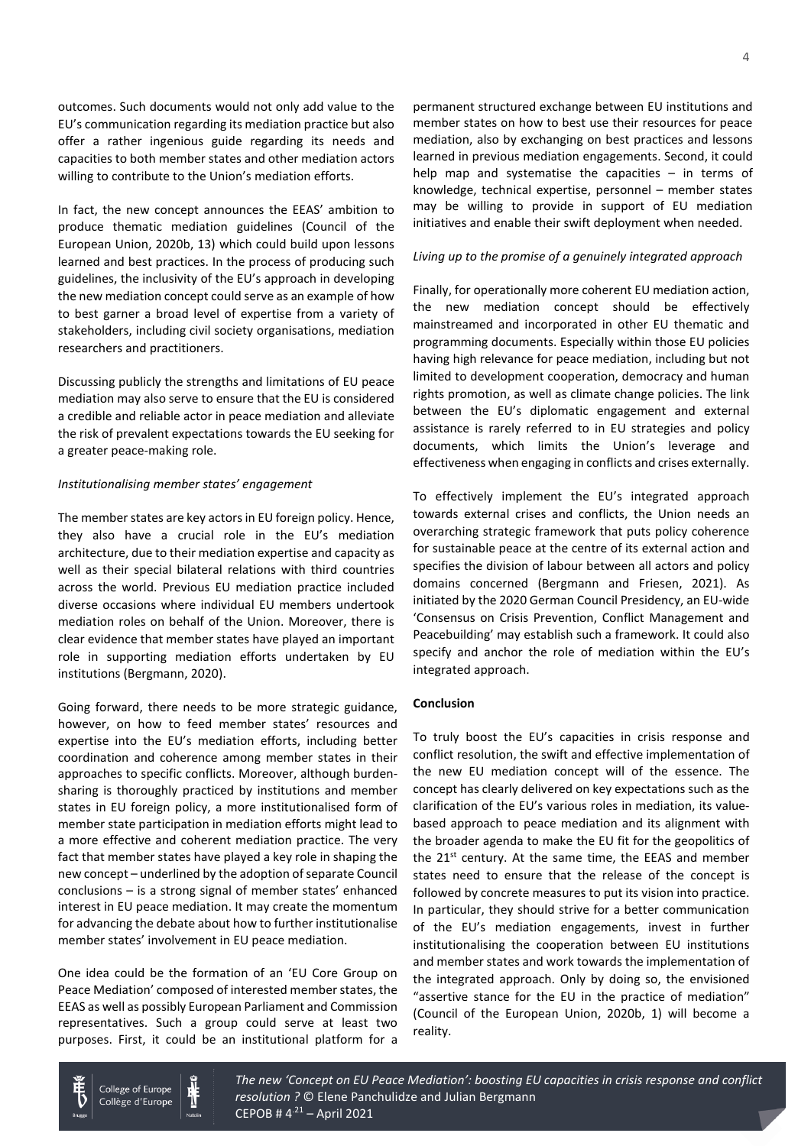outcomes. Such documents would not only add value to the EU's communication regarding its mediation practice but also offer a rather ingenious guide regarding its needs and capacities to both member states and other mediation actors willing to contribute to the Union's mediation efforts.

In fact, the new concept announces the EEAS' ambition to produce thematic mediation guidelines (Council of the European Union, 2020b, 13) which could build upon lessons learned and best practices. In the process of producing such guidelines, the inclusivity of the EU's approach in developing the new mediation concept could serve as an example of how to best garner a broad level of expertise from a variety of stakeholders, including civil society organisations, mediation researchers and practitioners.

Discussing publicly the strengths and limitations of EU peace mediation may also serve to ensure that the EU is considered a credible and reliable actor in peace mediation and alleviate the risk of prevalent expectations towards the EU seeking for a greater peace-making role.

#### *Institutionalising member states' engagement*

The member states are key actors in EU foreign policy. Hence, they also have a crucial role in the EU's mediation architecture, due to their mediation expertise and capacity as well as their special bilateral relations with third countries across the world. Previous EU mediation practice included diverse occasions where individual EU members undertook mediation roles on behalf of the Union. Moreover, there is clear evidence that member states have played an important role in supporting mediation efforts undertaken by EU institutions (Bergmann, 2020).

Going forward, there needs to be more strategic guidance, however, on how to feed member states' resources and expertise into the EU's mediation efforts, including better coordination and coherence among member states in their approaches to specific conflicts. Moreover, although burdensharing is thoroughly practiced by institutions and member states in EU foreign policy, a more institutionalised form of member state participation in mediation efforts might lead to a more effective and coherent mediation practice. The very fact that member states have played a key role in shaping the new concept – underlined by the adoption of separate Council conclusions – is a strong signal of member states' enhanced interest in EU peace mediation. It may create the momentum for advancing the debate about how to further institutionalise member states' involvement in EU peace mediation.

One idea could be the formation of an 'EU Core Group on Peace Mediation' composed of interested member states, the EEAS as well as possibly European Parliament and Commission representatives. Such a group could serve at least two purposes. First, it could be an institutional platform for a

> College of Europe Collège d'Europe

permanent structured exchange between EU institutions and member states on how to best use their resources for peace mediation, also by exchanging on best practices and lessons learned in previous mediation engagements. Second, it could help map and systematise the capacities  $-$  in terms of knowledge, technical expertise, personnel – member states may be willing to provide in support of EU mediation initiatives and enable their swift deployment when needed.

#### *Living up to the promise of a genuinely integrated approach*

Finally, for operationally more coherent EU mediation action, the new mediation concept should be effectively mainstreamed and incorporated in other EU thematic and programming documents. Especially within those EU policies having high relevance for peace mediation, including but not limited to development cooperation, democracy and human rights promotion, as well as climate change policies. The link between the EU's diplomatic engagement and external assistance is rarely referred to in EU strategies and policy documents, which limits the Union's leverage and effectiveness when engaging in conflicts and crises externally.

To effectively implement the EU's integrated approach towards external crises and conflicts, the Union needs an overarching strategic framework that puts policy coherence for sustainable peace at the centre of its external action and specifies the division of labour between all actors and policy domains concerned (Bergmann and Friesen, 2021). As initiated by the 2020 German Council Presidency, an EU-wide 'Consensus on Crisis Prevention, Conflict Management and Peacebuilding' may establish such a framework. It could also specify and anchor the role of mediation within the EU's integrated approach.

### **Conclusion**

To truly boost the EU's capacities in crisis response and conflict resolution, the swift and effective implementation of the new EU mediation concept will of the essence. The concept has clearly delivered on key expectations such as the clarification of the EU's various roles in mediation, its valuebased approach to peace mediation and its alignment with the broader agenda to make the EU fit for the geopolitics of the  $21^{st}$  century. At the same time, the EEAS and member states need to ensure that the release of the concept is followed by concrete measures to put its vision into practice. In particular, they should strive for a better communication of the EU's mediation engagements, invest in further institutionalising the cooperation between EU institutions and member states and work towards the implementation of the integrated approach. Only by doing so, the envisioned "assertive stance for the EU in the practice of mediation" (Council of the European Union, 2020b, 1) will become a reality.



*The new 'Concept on EU Peace Mediation': boosting EU capacities in crisis response and conflict* resolution ? © Elene Panchulidze and Julian Bergmann  $CEPOB # 4<sup>.21</sup> – April 2021$